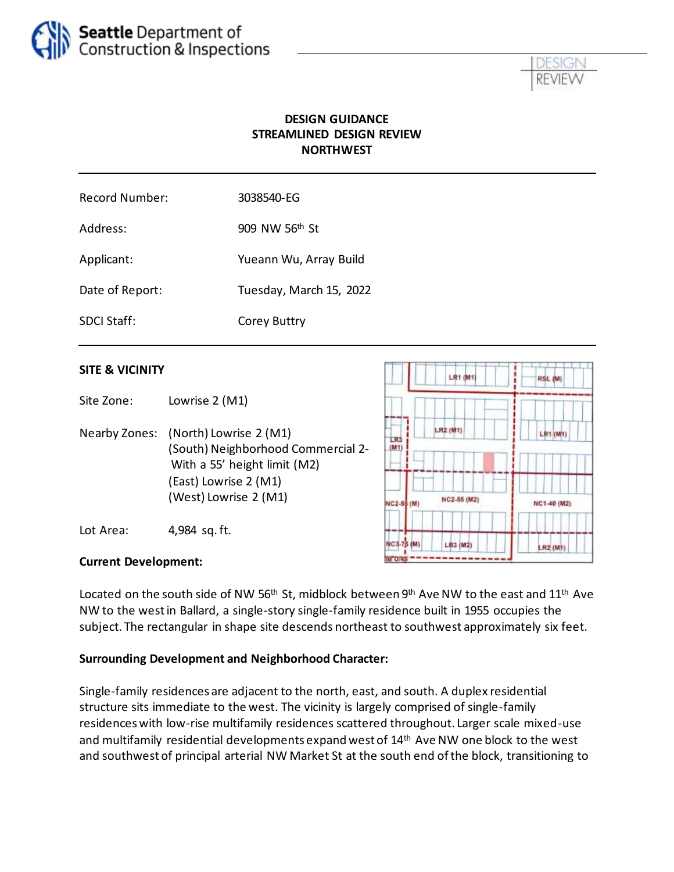



### **DESIGN GUIDANCE STREAMLINED DESIGN REVIEW NORTHWEST**

| <b>Record Number:</b> | 3038540-EG                 |
|-----------------------|----------------------------|
| Address:              | 909 NW 56 <sup>th</sup> St |
| Applicant:            | Yueann Wu, Array Build     |
| Date of Report:       | Tuesday, March 15, 2022    |
| <b>SDCI Staff:</b>    | <b>Corey Buttry</b>        |

#### **SITE & VICINITY**

Site Zone: Lowrise 2 (M1)

Nearby Zones: (North) Lowrise 2 (M1) (South) Neighborhood Commercial 2- With a 55' height limit (M2) (East) Lowrise 2 (M1) (West) Lowrise 2 (M1)

Lot Area: 4,984 sq. ft.



#### **Current Development:**

Located on the south side of NW 56<sup>th</sup> St, midblock between 9<sup>th</sup> Ave NW to the east and 11<sup>th</sup> Ave NW to the west in Ballard, a single-story single-family residence built in 1955 occupies the subject. The rectangular in shape site descends northeast to southwest approximately six feet.

#### **Surrounding Development and Neighborhood Character:**

Single-family residences are adjacent to the north, east, and south. A duplex residential structure sits immediate to the west. The vicinity is largely comprised of single-family residences with low-rise multifamily residences scattered throughout. Larger scale mixed-use and multifamily residential developments expand west of 14th Ave NW one block to the west and southwest of principal arterial NW Market St at the south end of the block, transitioning to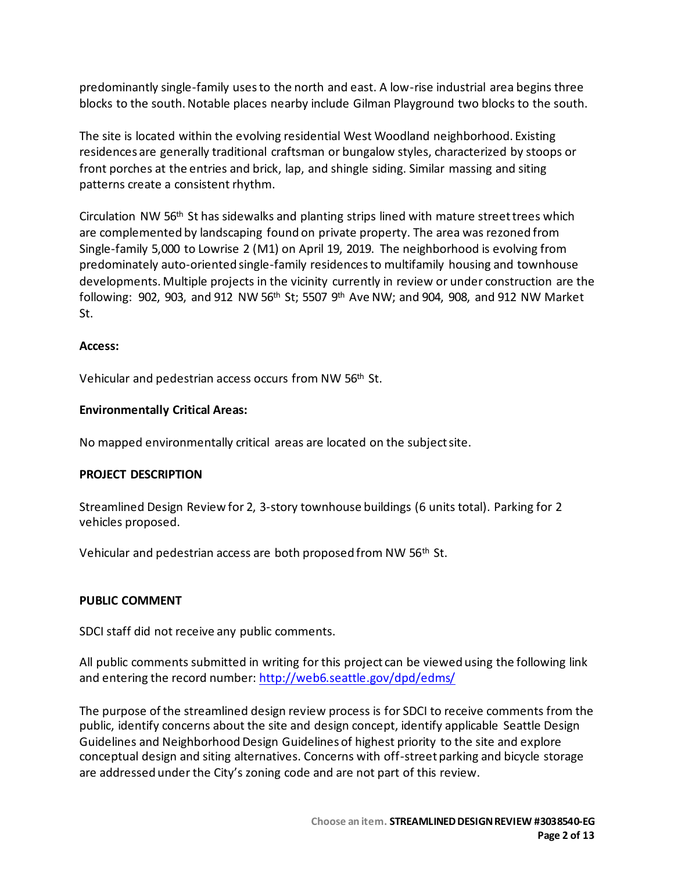predominantly single-family uses to the north and east. A low-rise industrial area begins three blocks to the south. Notable places nearby include Gilman Playground two blocks to the south.

The site is located within the evolving residential West Woodland neighborhood. Existing residences are generally traditional craftsman or bungalow styles, characterized by stoops or front porches at the entries and brick, lap, and shingle siding. Similar massing and siting patterns create a consistent rhythm.

Circulation NW 56<sup>th</sup> St has sidewalks and planting strips lined with mature street trees which are complemented by landscaping found on private property. The area was rezoned from Single-family 5,000 to Lowrise 2 (M1) on April 19, 2019. The neighborhood is evolving from predominately auto-oriented single-family residences to multifamily housing and townhouse developments. Multiple projects in the vicinity currently in review or under construction are the following: 902, 903, and 912 NW 56<sup>th</sup> St; 5507 9<sup>th</sup> Ave NW; and 904, 908, and 912 NW Market St.

#### **Access:**

Vehicular and pedestrian access occurs from NW 56<sup>th</sup> St.

#### **Environmentally Critical Areas:**

No mapped environmentally critical areas are located on the subject site.

#### **PROJECT DESCRIPTION**

Streamlined Design Review for 2, 3-story townhouse buildings (6 units total). Parking for 2 vehicles proposed.

Vehicular and pedestrian access are both proposed from NW 56<sup>th</sup> St.

#### **PUBLIC COMMENT**

SDCI staff did not receive any public comments.

All public comments submitted in writing for this project can be viewed using the following link and entering the record number:<http://web6.seattle.gov/dpd/edms/>

The purpose of the streamlined design review process is for SDCI to receive comments from the public, identify concerns about the site and design concept, identify applicable Seattle Design Guidelines and Neighborhood Design Guidelines of highest priority to the site and explore conceptual design and siting alternatives. Concerns with off-street parking and bicycle storage are addressed under the City's zoning code and are not part of this review.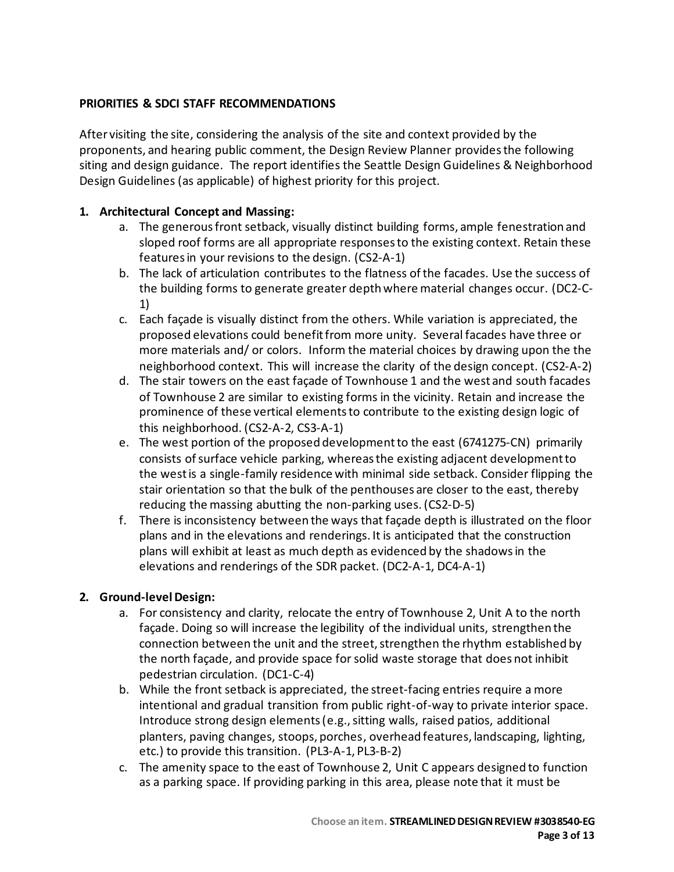## **PRIORITIES & SDCI STAFF RECOMMENDATIONS**

After visiting the site, considering the analysis of the site and context provided by the proponents, and hearing public comment, the Design Review Planner providesthe following siting and design guidance. The report identifies the Seattle Design Guidelines & Neighborhood Design Guidelines (as applicable) of highest priority for this project.

### **1. Architectural Concept and Massing:**

- a. The generous front setback, visually distinct building forms, ample fenestration and sloped roof forms are all appropriate responses to the existing context. Retain these features in your revisions to the design. (CS2-A-1)
- b. The lack of articulation contributes to the flatness of the facades. Use the success of the building forms to generate greater depth where material changes occur. (DC2-C-1)
- c. Each façade is visually distinct from the others. While variation is appreciated, the proposed elevations could benefit from more unity. Several facades have three or more materials and/ or colors. Inform the material choices by drawing upon the the neighborhood context. This will increase the clarity of the design concept. (CS2-A-2)
- d. The stair towers on the east façade of Townhouse 1 and the west and south facades of Townhouse 2 are similar to existing forms in the vicinity. Retain and increase the prominence of these vertical elements to contribute to the existing design logic of this neighborhood. (CS2-A-2, CS3-A-1)
- e. The west portion of the proposed development to the east (6741275-CN) primarily consists of surface vehicle parking, whereas the existing adjacent development to the west is a single-family residence with minimal side setback. Consider flipping the stair orientation so that the bulk of the penthouses are closer to the east, thereby reducing the massing abutting the non-parking uses. (CS2-D-5)
- f. There is inconsistency between the ways that façade depth is illustrated on the floor plans and in the elevations and renderings. It is anticipated that the construction plans will exhibit at least as much depth as evidenced by the shadows in the elevations and renderings of the SDR packet. (DC2-A-1, DC4-A-1)

### **2. Ground-level Design:**

- a. For consistency and clarity, relocate the entry of Townhouse 2, Unit A to the north façade. Doing so will increase the legibility of the individual units, strengthen the connection between the unit and the street, strengthen the rhythm established by the north façade, and provide space for solid waste storage that does not inhibit pedestrian circulation. (DC1-C-4)
- b. While the front setback is appreciated, the street-facing entries require a more intentional and gradual transition from public right-of-way to private interior space. Introduce strong design elements (e.g., sitting walls, raised patios, additional planters, paving changes, stoops, porches, overhead features, landscaping, lighting, etc.) to provide this transition. (PL3-A-1, PL3-B-2)
- c. The amenity space to the east of Townhouse 2, Unit C appears designed to function as a parking space. If providing parking in this area, please note that it must be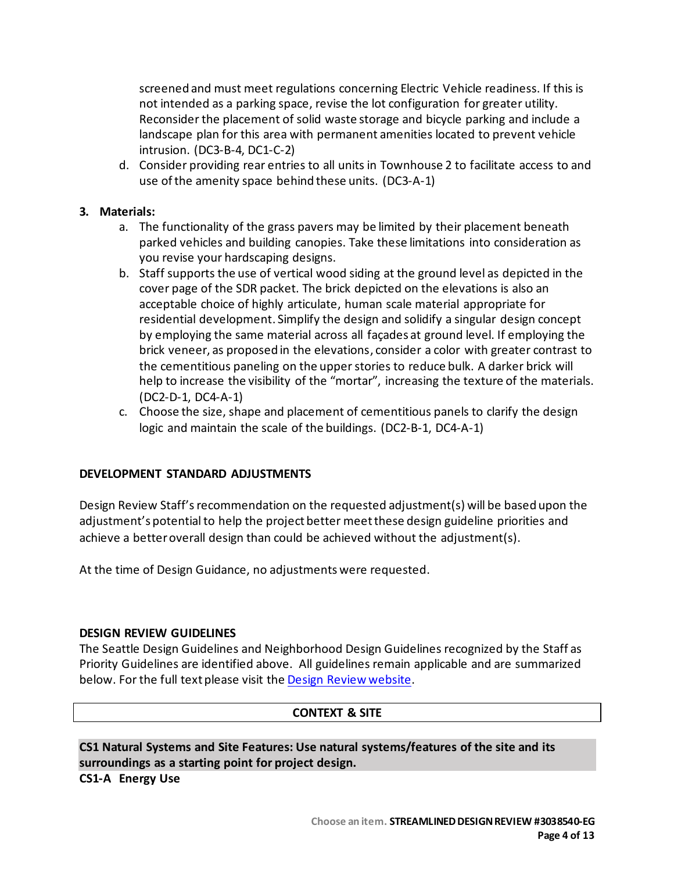screened and must meet regulations concerning Electric Vehicle readiness. If this is not intended as a parking space, revise the lot configuration for greater utility. Reconsider the placement of solid waste storage and bicycle parking and include a landscape plan for this area with permanent amenities located to prevent vehicle intrusion. (DC3-B-4, DC1-C-2)

d. Consider providing rear entries to all units in Townhouse 2 to facilitate access to and use of the amenity space behind these units. (DC3-A-1)

#### **3. Materials:**

- a. The functionality of the grass pavers may be limited by their placement beneath parked vehicles and building canopies. Take these limitations into consideration as you revise your hardscaping designs.
- b. Staff supports the use of vertical wood siding at the ground level as depicted in the cover page of the SDR packet. The brick depicted on the elevations is also an acceptable choice of highly articulate, human scale material appropriate for residential development. Simplify the design and solidify a singular design concept by employing the same material across all façades at ground level. If employing the brick veneer, as proposed in the elevations, consider a color with greater contrast to the cementitious paneling on the upper stories to reduce bulk. A darker brick will help to increase the visibility of the "mortar", increasing the texture of the materials. (DC2-D-1, DC4-A-1)
- c. Choose the size, shape and placement of cementitious panels to clarify the design logic and maintain the scale of the buildings. (DC2-B-1, DC4-A-1)

#### **DEVELOPMENT STANDARD ADJUSTMENTS**

Design Review Staff'srecommendation on the requested adjustment(s) will be based upon the adjustment's potential to help the project better meet these design guideline priorities and achieve a better overall design than could be achieved without the adjustment(s).

At the time of Design Guidance, no adjustments were requested.

#### **DESIGN REVIEW GUIDELINES**

The Seattle Design Guidelines and Neighborhood Design Guidelines recognized by the Staff as Priority Guidelines are identified above. All guidelines remain applicable and are summarized below. For the full text please visit the [Design Review website.](https://www.seattle.gov/dpd/aboutus/whoweare/designreview/designguidelines/default.htm)

#### **CONTEXT & SITE**

**CS1 Natural Systems and Site Features: Use natural systems/features of the site and its surroundings as a starting point for project design.**

**CS1-A Energy Use**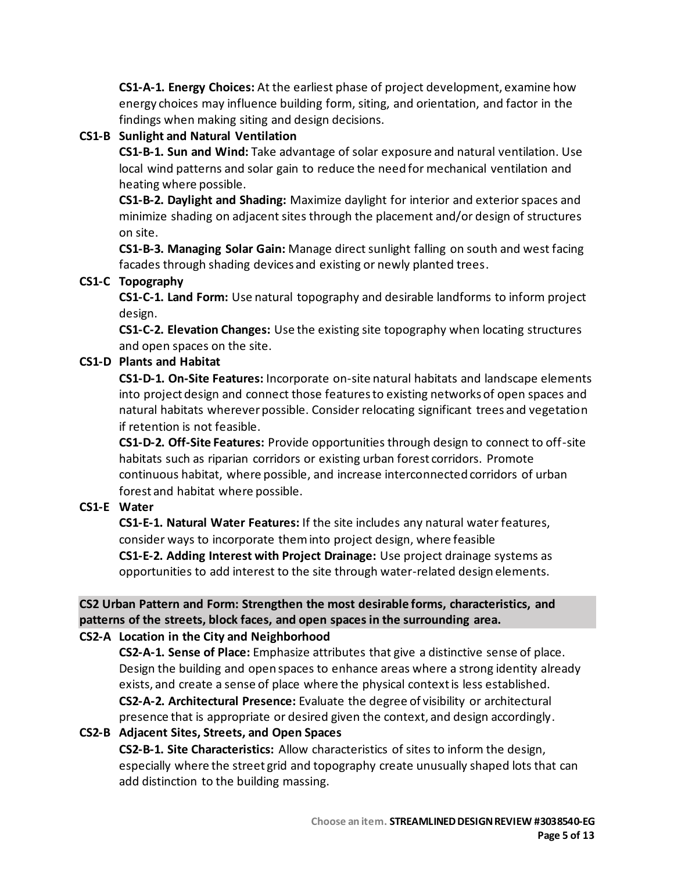**CS1-A-1. Energy Choices:** At the earliest phase of project development, examine how energy choices may influence building form, siting, and orientation, and factor in the findings when making siting and design decisions.

# **CS1-B Sunlight and Natural Ventilation**

**CS1-B-1. Sun and Wind:** Take advantage of solar exposure and natural ventilation. Use local wind patterns and solar gain to reduce the need for mechanical ventilation and heating where possible.

**CS1-B-2. Daylight and Shading:** Maximize daylight for interior and exterior spaces and minimize shading on adjacent sites through the placement and/or design of structures on site.

**CS1-B-3. Managing Solar Gain:** Manage direct sunlight falling on south and west facing facades through shading devices and existing or newly planted trees.

# **CS1-C Topography**

**CS1-C-1. Land Form:** Use natural topography and desirable landforms to inform project design.

**CS1-C-2. Elevation Changes:** Use the existing site topography when locating structures and open spaces on the site.

# **CS1-D Plants and Habitat**

**CS1-D-1. On-Site Features:** Incorporate on-site natural habitats and landscape elements into project design and connect those features to existing networks of open spaces and natural habitats wherever possible. Consider relocating significant trees and vegetation if retention is not feasible.

**CS1-D-2. Off-Site Features:** Provide opportunities through design to connect to off-site habitats such as riparian corridors or existing urban forest corridors. Promote continuous habitat, where possible, and increase interconnected corridors of urban forest and habitat where possible.

### **CS1-E Water**

**CS1-E-1. Natural Water Features:** If the site includes any natural water features, consider ways to incorporate them into project design, where feasible **CS1-E-2. Adding Interest with Project Drainage:** Use project drainage systems as opportunities to add interest to the site through water-related design elements.

# **CS2 Urban Pattern and Form: Strengthen the most desirable forms, characteristics, and patterns of the streets, block faces, and open spaces in the surrounding area.**

### **CS2-A Location in the City and Neighborhood**

**CS2-A-1. Sense of Place:** Emphasize attributes that give a distinctive sense of place. Design the building and open spaces to enhance areas where a strong identity already exists, and create a sense of place where the physical context is less established. **CS2-A-2. Architectural Presence:** Evaluate the degree of visibility or architectural presence that is appropriate or desired given the context, and design accordingly.

### **CS2-B Adjacent Sites, Streets, and Open Spaces**

**CS2-B-1. Site Characteristics:** Allow characteristics of sites to inform the design, especially where the street grid and topography create unusually shaped lots that can add distinction to the building massing.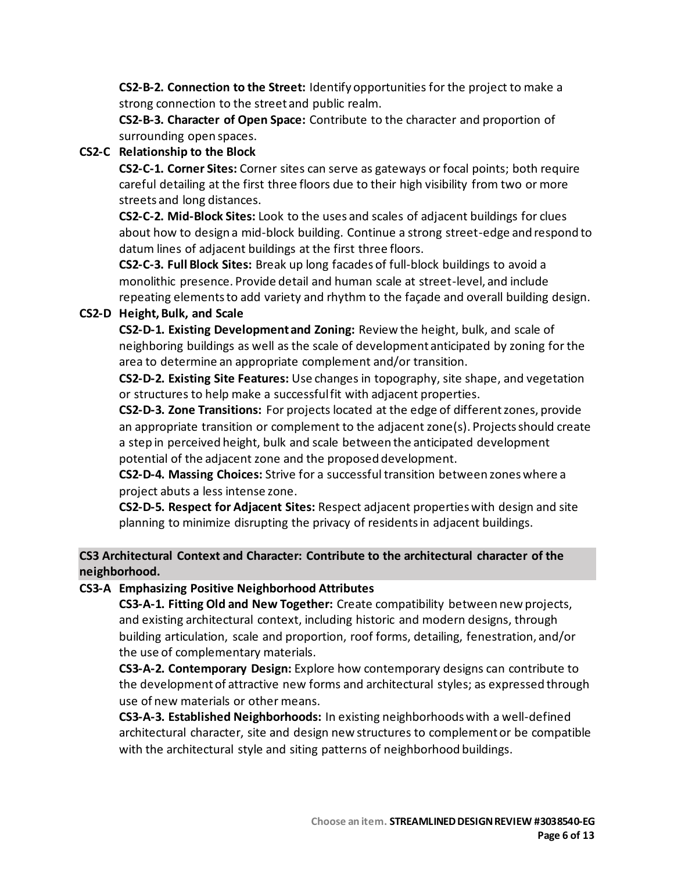**CS2-B-2. Connection to the Street:** Identify opportunities for the project to make a strong connection to the street and public realm.

**CS2-B-3. Character of Open Space:** Contribute to the character and proportion of surrounding open spaces.

### **CS2-C Relationship to the Block**

**CS2-C-1. Corner Sites:** Corner sites can serve as gateways or focal points; both require careful detailing at the first three floors due to their high visibility from two or more streets and long distances.

**CS2-C-2. Mid-Block Sites:** Look to the uses and scales of adjacent buildings for clues about how to design a mid-block building. Continue a strong street-edge and respond to datum lines of adjacent buildings at the first three floors.

**CS2-C-3. Full Block Sites:** Break up long facades of full-block buildings to avoid a monolithic presence. Provide detail and human scale at street-level, and include repeating elements to add variety and rhythm to the façade and overall building design.

# **CS2-D Height, Bulk, and Scale**

**CS2-D-1. Existing Development and Zoning:** Review the height, bulk, and scale of neighboring buildings as well as the scale of development anticipated by zoning for the area to determine an appropriate complement and/or transition.

**CS2-D-2. Existing Site Features:** Use changes in topography, site shape, and vegetation or structures to help make a successful fit with adjacent properties.

**CS2-D-3. Zone Transitions:** For projects located at the edge of different zones, provide an appropriate transition or complement to the adjacent zone(s). Projects should create a step in perceived height, bulk and scale between the anticipated development potential of the adjacent zone and the proposed development.

**CS2-D-4. Massing Choices:** Strive for a successful transition between zones where a project abuts a less intense zone.

**CS2-D-5. Respect for Adjacent Sites:** Respect adjacent properties with design and site planning to minimize disrupting the privacy of residents in adjacent buildings.

### **CS3 Architectural Context and Character: Contribute to the architectural character of the neighborhood.**

### **CS3-A Emphasizing Positive Neighborhood Attributes**

**CS3-A-1. Fitting Old and New Together:** Create compatibility between new projects, and existing architectural context, including historic and modern designs, through building articulation, scale and proportion, roof forms, detailing, fenestration, and/or the use of complementary materials.

**CS3-A-2. Contemporary Design:** Explore how contemporary designs can contribute to the development of attractive new forms and architectural styles; as expressed through use of new materials or other means.

**CS3-A-3. Established Neighborhoods:** In existing neighborhoods with a well-defined architectural character, site and design new structures to complement or be compatible with the architectural style and siting patterns of neighborhood buildings.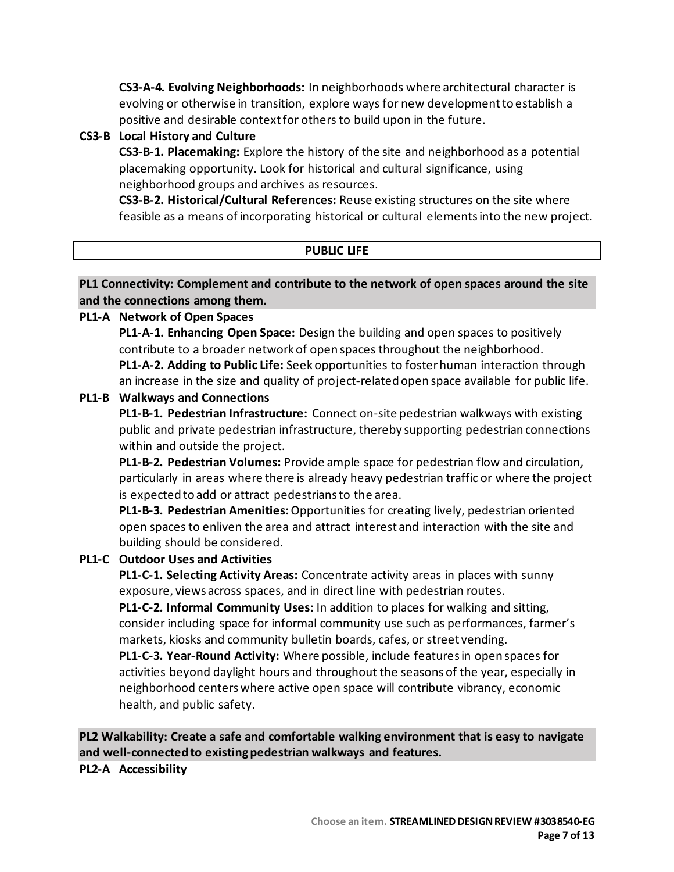**CS3-A-4. Evolving Neighborhoods:** In neighborhoods where architectural character is evolving or otherwise in transition, explore ways for new development to establish a positive and desirable context for others to build upon in the future.

#### **CS3-B Local History and Culture**

**CS3-B-1. Placemaking:** Explore the history of the site and neighborhood as a potential placemaking opportunity. Look for historical and cultural significance, using neighborhood groups and archives as resources.

**CS3-B-2. Historical/Cultural References:** Reuse existing structures on the site where feasible as a means of incorporating historical or cultural elements into the new project.

| <b>PUBLIC LIFE</b> |  |
|--------------------|--|
|                    |  |

#### **PL1 Connectivity: Complement and contribute to the network of open spaces around the site and the connections among them.**

#### **PL1-A Network of Open Spaces**

**PL1-A-1. Enhancing Open Space:** Design the building and open spaces to positively contribute to a broader network of open spaces throughout the neighborhood.

**PL1-A-2. Adding to Public Life:** Seek opportunities to foster human interaction through an increase in the size and quality of project-related open space available for public life.

#### **PL1-B Walkways and Connections**

**PL1-B-1. Pedestrian Infrastructure:** Connect on-site pedestrian walkways with existing public and private pedestrian infrastructure, thereby supporting pedestrian connections within and outside the project.

**PL1-B-2. Pedestrian Volumes:** Provide ample space for pedestrian flow and circulation, particularly in areas where there is already heavy pedestrian traffic or where the project is expected to add or attract pedestrians to the area.

**PL1-B-3. Pedestrian Amenities:**Opportunities for creating lively, pedestrian oriented open spaces to enliven the area and attract interest and interaction with the site and building should be considered.

### **PL1-C Outdoor Uses and Activities**

**PL1-C-1. Selecting Activity Areas:** Concentrate activity areas in places with sunny exposure, views across spaces, and in direct line with pedestrian routes.

**PL1-C-2. Informal Community Uses:** In addition to places for walking and sitting, consider including space for informal community use such as performances, farmer's markets, kiosks and community bulletin boards, cafes, or street vending.

**PL1-C-3. Year-Round Activity:** Where possible, include features in open spaces for activities beyond daylight hours and throughout the seasons of the year, especially in neighborhood centers where active open space will contribute vibrancy, economic health, and public safety.

**PL2 Walkability: Create a safe and comfortable walking environment that is easy to navigate and well-connected to existing pedestrian walkways and features.**

#### **PL2-A Accessibility**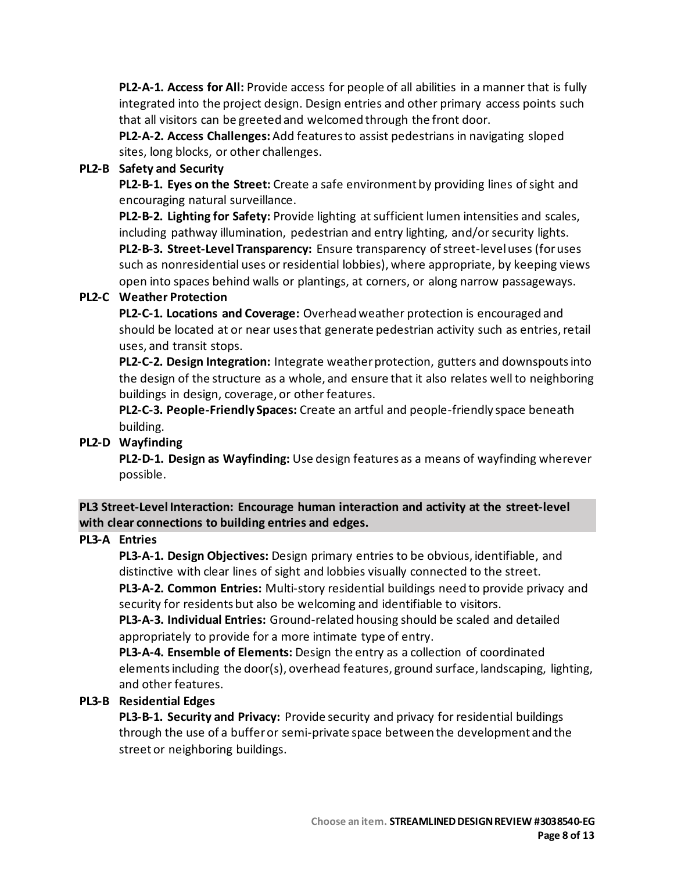**PL2-A-1. Access for All:** Provide access for people of all abilities in a manner that is fully integrated into the project design. Design entries and other primary access points such that all visitors can be greeted and welcomed through the front door.

**PL2-A-2. Access Challenges:**Add features to assist pedestrians in navigating sloped sites, long blocks, or other challenges.

#### **PL2-B Safety and Security**

**PL2-B-1. Eyes on the Street:** Create a safe environment by providing lines of sight and encouraging natural surveillance.

**PL2-B-2. Lighting for Safety:** Provide lighting at sufficient lumen intensities and scales, including pathway illumination, pedestrian and entry lighting, and/or security lights. **PL2-B-3. Street-Level Transparency:** Ensure transparency of street-level uses (for uses such as nonresidential uses or residential lobbies), where appropriate, by keeping views open into spaces behind walls or plantings, at corners, or along narrow passageways.

### **PL2-C Weather Protection**

**PL2-C-1. Locations and Coverage:** Overhead weather protection is encouraged and should be located at or near uses that generate pedestrian activity such as entries, retail uses, and transit stops.

**PL2-C-2. Design Integration:** Integrate weather protection, gutters and downspouts into the design of the structure as a whole, and ensure that it also relates well to neighboring buildings in design, coverage, or other features.

**PL2-C-3. People-Friendly Spaces:** Create an artful and people-friendly space beneath building.

### **PL2-D Wayfinding**

**PL2-D-1. Design as Wayfinding:** Use design features as a means of wayfinding wherever possible.

# **PL3 Street-Level Interaction: Encourage human interaction and activity at the street-level with clear connections to building entries and edges.**

### **PL3-A Entries**

**PL3-A-1. Design Objectives:** Design primary entries to be obvious, identifiable, and distinctive with clear lines of sight and lobbies visually connected to the street.

**PL3-A-2. Common Entries:** Multi-story residential buildings need to provide privacy and security for residents but also be welcoming and identifiable to visitors.

**PL3-A-3. Individual Entries:** Ground-related housing should be scaled and detailed appropriately to provide for a more intimate type of entry.

**PL3-A-4. Ensemble of Elements:** Design the entry as a collection of coordinated elementsincluding the door(s), overhead features, ground surface, landscaping, lighting, and other features.

### **PL3-B Residential Edges**

**PL3-B-1. Security and Privacy:** Provide security and privacy for residential buildings through the use of a buffer or semi-private space between the development and the street or neighboring buildings.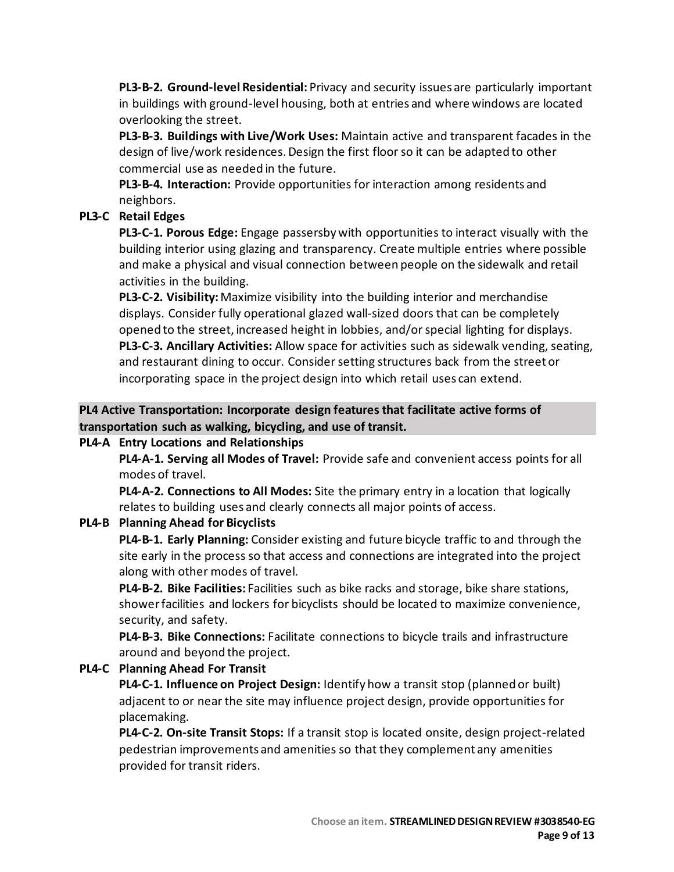**PL3-B-2. Ground-level Residential:** Privacy and security issues are particularly important in buildings with ground-level housing, both at entries and where windows are located overlooking the street.

**PL3-B-3. Buildings with Live/Work Uses:** Maintain active and transparent facades in the design of live/work residences. Design the first floor so it can be adapted to other commercial use as needed in the future.

**PL3-B-4. Interaction:** Provide opportunities for interaction among residents and neighbors.

# **PL3-C Retail Edges**

**PL3-C-1. Porous Edge:** Engage passersby with opportunities to interact visually with the building interior using glazing and transparency. Create multiple entries where possible and make a physical and visual connection between people on the sidewalk and retail activities in the building.

**PL3-C-2. Visibility:**Maximize visibility into the building interior and merchandise displays. Consider fully operational glazed wall-sized doors that can be completely opened to the street, increased height in lobbies, and/or special lighting for displays. **PL3-C-3. Ancillary Activities:** Allow space for activities such as sidewalk vending, seating, and restaurant dining to occur. Consider setting structures back from the street or incorporating space in the project design into which retail uses can extend.

**PL4 Active Transportation: Incorporate design features that facilitate active forms of transportation such as walking, bicycling, and use of transit.**

# **PL4-A Entry Locations and Relationships**

**PL4-A-1. Serving all Modes of Travel:** Provide safe and convenient access points for all modes of travel.

**PL4-A-2. Connections to All Modes:** Site the primary entry in a location that logically relates to building uses and clearly connects all major points of access.

# **PL4-B Planning Ahead for Bicyclists**

**PL4-B-1. Early Planning:** Consider existing and future bicycle traffic to and through the site early in the process so that access and connections are integrated into the project along with other modes of travel.

**PL4-B-2. Bike Facilities:** Facilities such as bike racks and storage, bike share stations, showerfacilities and lockers for bicyclists should be located to maximize convenience, security, and safety.

**PL4-B-3. Bike Connections:** Facilitate connections to bicycle trails and infrastructure around and beyond the project.

# **PL4-C Planning Ahead For Transit**

**PL4-C-1. Influence on Project Design:** Identify how a transit stop (planned or built) adjacent to or near the site may influence project design, provide opportunities for placemaking.

**PL4-C-2. On-site Transit Stops:** If a transit stop is located onsite, design project-related pedestrian improvements and amenities so that they complement any amenities provided for transit riders.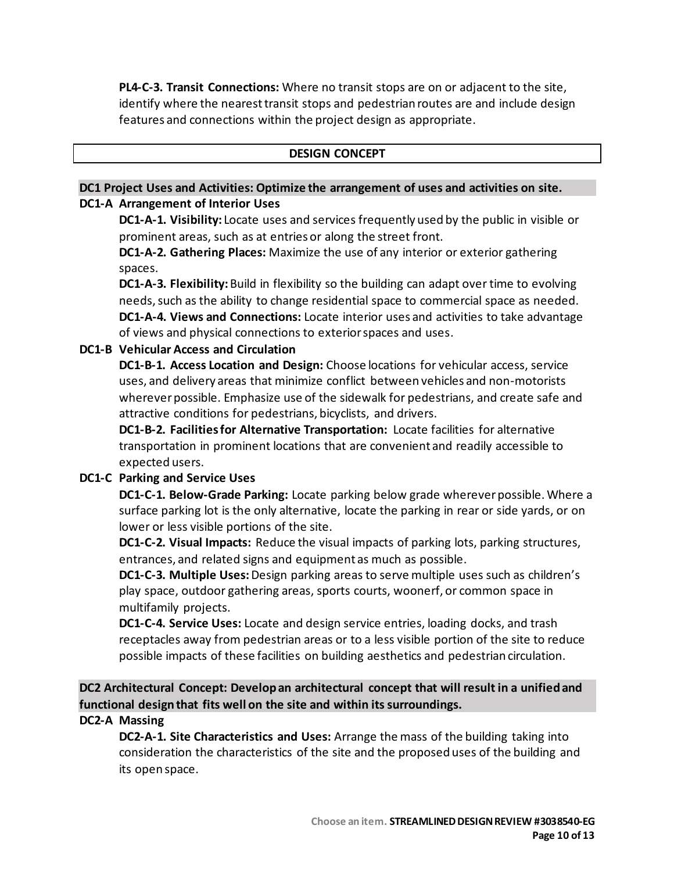**PL4-C-3. Transit Connections:** Where no transit stops are on or adjacent to the site, identify where the nearest transit stops and pedestrian routes are and include design features and connections within the project design as appropriate.

#### **DESIGN CONCEPT**

#### **DC1 Project Uses and Activities: Optimize the arrangement of uses and activities on site. DC1-A Arrangement of Interior Uses**

**DC1-A-1. Visibility:** Locate uses and services frequently used by the public in visible or prominent areas, such as at entries or along the street front.

**DC1-A-2. Gathering Places:** Maximize the use of any interior or exterior gathering spaces.

**DC1-A-3. Flexibility:** Build in flexibility so the building can adapt over time to evolving needs, such as the ability to change residential space to commercial space as needed. **DC1-A-4. Views and Connections:** Locate interior uses and activities to take advantage of views and physical connections to exterior spaces and uses.

### **DC1-B Vehicular Access and Circulation**

**DC1-B-1. Access Location and Design:** Choose locations for vehicular access, service uses, and delivery areas that minimize conflict between vehicles and non-motorists wherever possible. Emphasize use of the sidewalk for pedestrians, and create safe and attractive conditions for pedestrians, bicyclists, and drivers.

**DC1-B-2. Facilities for Alternative Transportation:** Locate facilities for alternative transportation in prominent locations that are convenient and readily accessible to expected users.

### **DC1-C Parking and Service Uses**

**DC1-C-1. Below-Grade Parking:** Locate parking below grade wherever possible. Where a surface parking lot is the only alternative, locate the parking in rear or side yards, or on lower or less visible portions of the site.

**DC1-C-2. Visual Impacts:** Reduce the visual impacts of parking lots, parking structures, entrances, and related signs and equipment as much as possible.

**DC1-C-3. Multiple Uses:** Design parking areas to serve multiple uses such as children's play space, outdoor gathering areas, sports courts, woonerf, or common space in multifamily projects.

**DC1-C-4. Service Uses:** Locate and design service entries, loading docks, and trash receptacles away from pedestrian areas or to a less visible portion of the site to reduce possible impacts of these facilities on building aesthetics and pedestrian circulation.

**DC2 Architectural Concept: Develop an architectural concept that will result in a unified and functional design that fits well on the site and within its surroundings.**

#### **DC2-A Massing**

**DC2-A-1. Site Characteristics and Uses:** Arrange the mass of the building taking into consideration the characteristics of the site and the proposed uses of the building and its open space.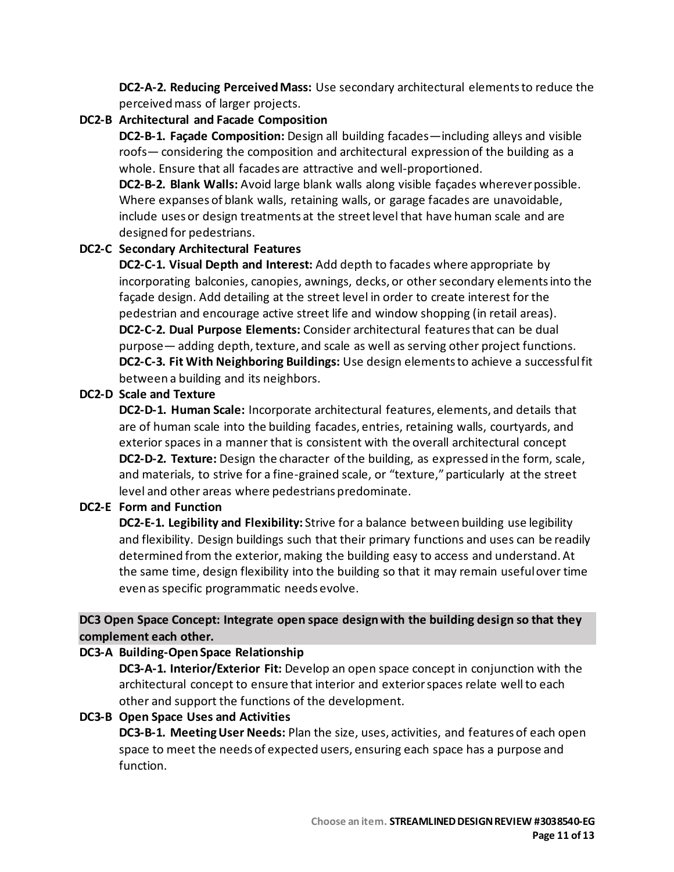**DC2-A-2. Reducing Perceived Mass:** Use secondary architectural elements to reduce the perceived mass of larger projects.

# **DC2-B Architectural and Facade Composition**

**DC2-B-1. Façade Composition:** Design all building facades—including alleys and visible roofs— considering the composition and architectural expression of the building as a whole. Ensure that all facades are attractive and well-proportioned.

**DC2-B-2. Blank Walls:** Avoid large blank walls along visible façades wherever possible. Where expanses of blank walls, retaining walls, or garage facades are unavoidable, include uses or design treatments at the street level that have human scale and are designed for pedestrians.

### **DC2-C Secondary Architectural Features**

**DC2-C-1. Visual Depth and Interest:** Add depth to facades where appropriate by incorporating balconies, canopies, awnings, decks, or other secondary elements into the façade design. Add detailing at the street level in order to create interest for the pedestrian and encourage active street life and window shopping (in retail areas). **DC2-C-2. Dual Purpose Elements:** Consider architectural features that can be dual purpose— adding depth, texture, and scale as well as serving other project functions. **DC2-C-3. Fit With Neighboring Buildings:** Use design elements to achieve a successful fit between a building and its neighbors.

### **DC2-D Scale and Texture**

**DC2-D-1. Human Scale:** Incorporate architectural features, elements, and details that are of human scale into the building facades, entries, retaining walls, courtyards, and exterior spaces in a manner that is consistent with the overall architectural concept **DC2-D-2. Texture:** Design the character of the building, as expressed in the form, scale, and materials, to strive for a fine-grained scale, or "texture," particularly at the street level and other areas where pedestrians predominate.

### **DC2-E Form and Function**

**DC2-E-1. Legibility and Flexibility:** Strive for a balance between building use legibility and flexibility. Design buildings such that their primary functions and uses can be readily determined from the exterior, making the building easy to access and understand. At the same time, design flexibility into the building so that it may remain useful over time even as specific programmatic needs evolve.

# **DC3 Open Space Concept: Integrate open space design with the building design so that they complement each other.**

### **DC3-A Building-Open Space Relationship**

**DC3-A-1. Interior/Exterior Fit:** Develop an open space concept in conjunction with the architectural concept to ensure that interior and exterior spaces relate well to each other and support the functions of the development.

### **DC3-B Open Space Uses and Activities**

**DC3-B-1. Meeting User Needs:** Plan the size, uses, activities, and features of each open space to meet the needs of expected users, ensuring each space has a purpose and function.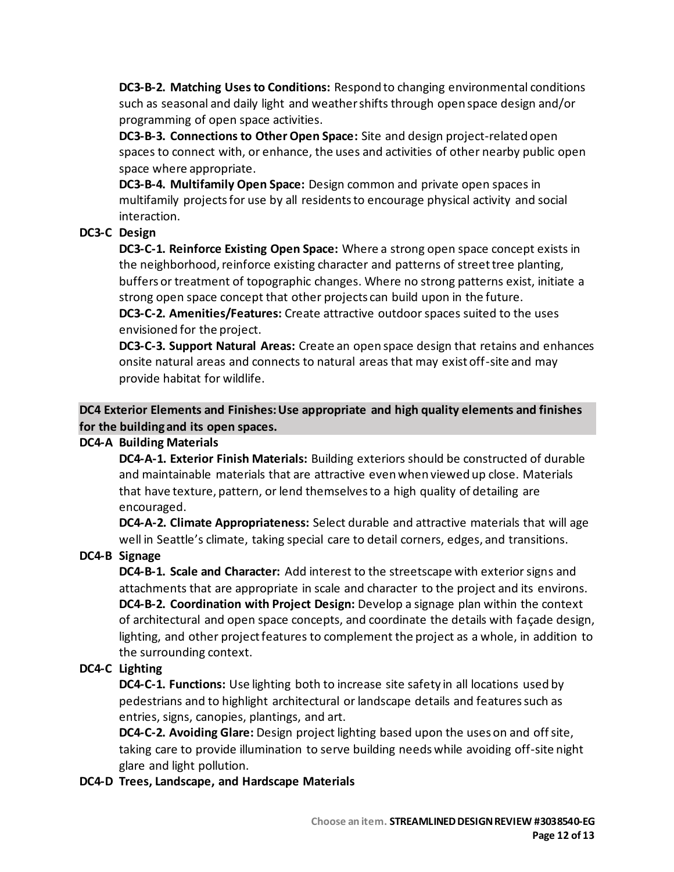**DC3-B-2. Matching Uses to Conditions:** Respond to changing environmental conditions such as seasonal and daily light and weather shifts through open space design and/or programming of open space activities.

**DC3-B-3. Connections to Other Open Space:** Site and design project-related open spaces to connect with, or enhance, the uses and activities of other nearby public open space where appropriate.

**DC3-B-4. Multifamily Open Space:** Design common and private open spaces in multifamily projects for use by all residents to encourage physical activity and social interaction.

# **DC3-C Design**

**DC3-C-1. Reinforce Existing Open Space:** Where a strong open space concept exists in the neighborhood, reinforce existing character and patterns of street tree planting, buffers or treatment of topographic changes. Where no strong patterns exist, initiate a strong open space concept that other projects can build upon in the future.

**DC3-C-2. Amenities/Features:** Create attractive outdoor spaces suited to the uses envisioned for the project.

**DC3-C-3. Support Natural Areas:** Create an open space design that retains and enhances onsite natural areas and connects to natural areas that may exist off-site and may provide habitat for wildlife.

**DC4 Exterior Elements and Finishes: Use appropriate and high quality elements and finishes for the building and its open spaces.**

### **DC4-A Building Materials**

**DC4-A-1. Exterior Finish Materials:** Building exteriors should be constructed of durable and maintainable materials that are attractive even when viewed up close. Materials that have texture, pattern, or lend themselves to a high quality of detailing are encouraged.

**DC4-A-2. Climate Appropriateness:** Select durable and attractive materials that will age well in Seattle's climate, taking special care to detail corners, edges, and transitions.

### **DC4-B Signage**

**DC4-B-1. Scale and Character:** Add interest to the streetscape with exterior signs and attachments that are appropriate in scale and character to the project and its environs. **DC4-B-2. Coordination with Project Design:** Develop a signage plan within the context of architectural and open space concepts, and coordinate the details with façade design, lighting, and other project features to complement the project as a whole, in addition to the surrounding context.

### **DC4-C Lighting**

**DC4-C-1. Functions:** Use lighting both to increase site safety in all locations used by pedestrians and to highlight architectural or landscape details and features such as entries, signs, canopies, plantings, and art.

**DC4-C-2. Avoiding Glare:** Design project lighting based upon the uses on and off site, taking care to provide illumination to serve building needs while avoiding off-site night glare and light pollution.

**DC4-D Trees, Landscape, and Hardscape Materials**